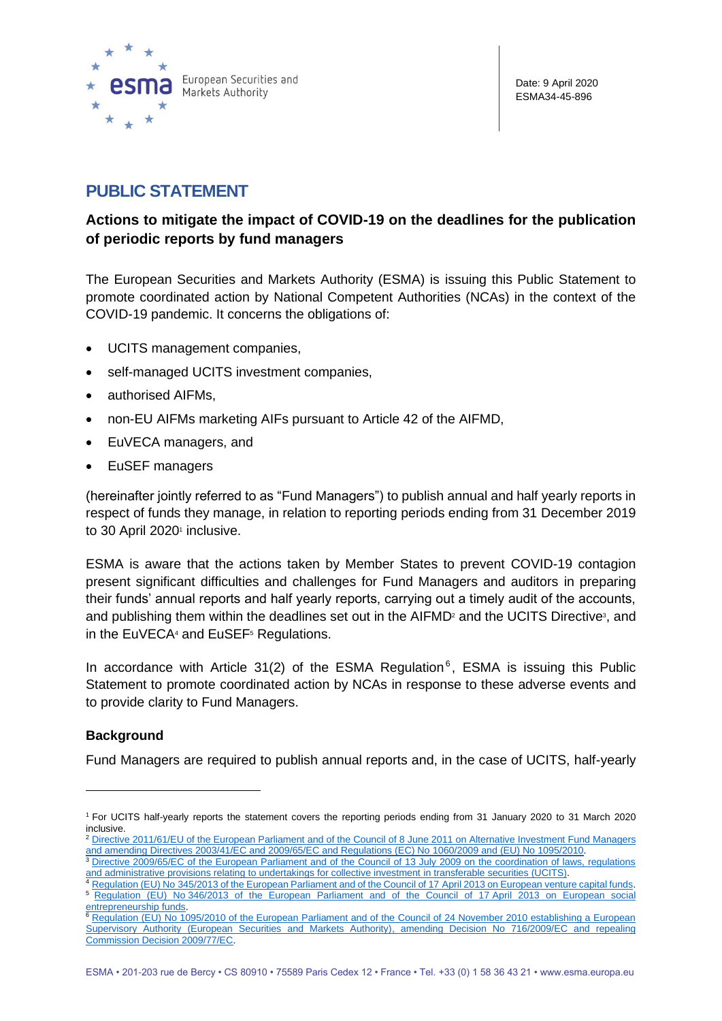

# **PUBLIC STATEMENT**

# **Actions to mitigate the impact of COVID-19 on the deadlines for the publication of periodic reports by fund managers**

The European Securities and Markets Authority (ESMA) is issuing this Public Statement to promote coordinated action by National Competent Authorities (NCAs) in the context of the COVID-19 pandemic. It concerns the obligations of:

- UCITS management companies,
- self-managed UCITS investment companies,
- authorised AIFMs,
- non-EU AIFMs marketing AIFs pursuant to Article 42 of the AIFMD,
- EuVECA managers, and
- EuSEF managers

(hereinafter jointly referred to as "Fund Managers") to publish annual and half yearly reports in respect of funds they manage, in relation to reporting periods ending from 31 December 2019 to 30 April 2020<sup>1</sup> inclusive.

ESMA is aware that the actions taken by Member States to prevent COVID-19 contagion present significant difficulties and challenges for Fund Managers and auditors in preparing their funds' annual reports and half yearly reports, carrying out a timely audit of the accounts, and publishing them within the deadlines set out in the AIFMD<sup>2</sup> and the UCITS Directive<sup>3</sup>, and in the EuVECA<sup>4</sup> and EuSEF<sup>5</sup> Regulations.

In accordance with Article 31(2) of the ESMA Regulation<sup>6</sup>, ESMA is issuing this Public Statement to promote coordinated action by NCAs in response to these adverse events and to provide clarity to Fund Managers.

## **Background**

Fund Managers are required to publish annual reports and, in the case of UCITS, half-yearly

<sup>1</sup> For UCITS half-yearly reports the statement covers the reporting periods ending from 31 January 2020 to 31 March 2020 inclusive.

<sup>2</sup> [Directive 2011/61/EU of the European Parliament and of the Council of 8](https://eur-lex.europa.eu/legal-content/EN/TXT/?uri=uriserv:OJ.L_.2011.174.01.0001.01.ENG&toc=OJ:L:2011:174:TOC) June 2011 on Alternative Investment Fund Managers [and amending Directives 2003/41/EC and 2009/65/EC and Regulations \(EC\) No](https://eur-lex.europa.eu/legal-content/EN/TXT/?uri=uriserv:OJ.L_.2011.174.01.0001.01.ENG&toc=OJ:L:2011:174:TOC) 1060/2009 and (EU) No 1095/2010.

<sup>&</sup>lt;sup>3</sup> Directive 2009/65/EC of the European Parliament and of the Council of 13 July 2009 on the coordination of laws, regulations [and administrative provisions relating to undertakings for collective investment in transferable securities \(UCITS\).](https://eur-lex.europa.eu/legal-content/EN/TXT/?uri=CELEX:02009L0065-20200107)

Regulation (EU) No [345/2013 of the European Parliament and of the Council of 17](https://eur-lex.europa.eu/legal-content/EN/TXT/?uri=CELEX:02013R0345-20180301) April 2013 on European venture capital funds. <sup>5</sup> Regulation (EU) No [346/2013 of the European Parliament and of the Council of 17](https://eur-lex.europa.eu/legal-content/EN/TXT/?uri=CELEX:02013R0346-20180301) April 2013 on European social [entrepreneurship funds.](https://eur-lex.europa.eu/legal-content/EN/TXT/?uri=CELEX:02013R0346-20180301)

<sup>6</sup> [Regulation \(EU\) No 1095/2010 of the European Parliament and of the Council of 24 November 2010 establishing a European](https://eur-lex.europa.eu/legal-content/EN/TXT/?uri=CELEX:02010R1095-20200101)  [Supervisory Authority \(European Securities and Markets Authority\), amending Decision No 716/2009/EC and repealing](https://eur-lex.europa.eu/legal-content/EN/TXT/?uri=CELEX:02010R1095-20200101)  [Commission Decision 2009/77/EC.](https://eur-lex.europa.eu/legal-content/EN/TXT/?uri=CELEX:02010R1095-20200101)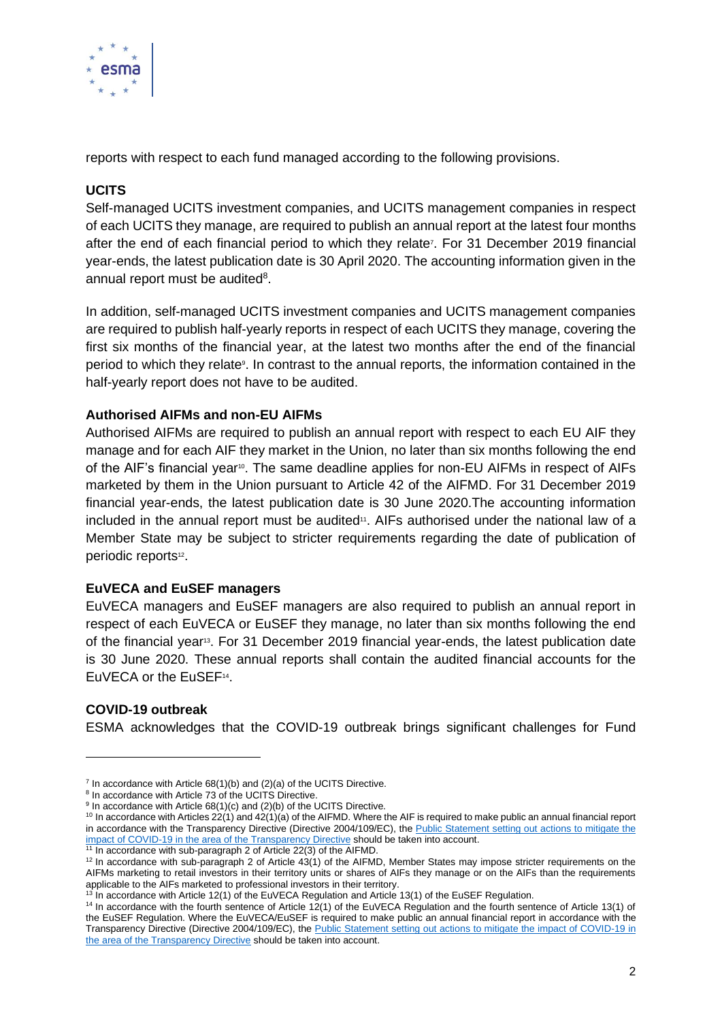

reports with respect to each fund managed according to the following provisions.

# **UCITS**

Self-managed UCITS investment companies, and UCITS management companies in respect of each UCITS they manage, are required to publish an annual report at the latest four months after the end of each financial period to which they relate<sup>7</sup>. For 31 December 2019 financial year-ends, the latest publication date is 30 April 2020. The accounting information given in the annual report must be audited<sup>8</sup>.

In addition, self-managed UCITS investment companies and UCITS management companies are required to publish half-yearly reports in respect of each UCITS they manage, covering the first six months of the financial year, at the latest two months after the end of the financial period to which they relate<sup>9</sup>. In contrast to the annual reports, the information contained in the half-yearly report does not have to be audited.

#### **Authorised AIFMs and non-EU AIFMs**

Authorised AIFMs are required to publish an annual report with respect to each EU AIF they manage and for each AIF they market in the Union, no later than six months following the end of the AIF's financial year<sup>10</sup>. The same deadline applies for non-EU AIFMs in respect of AIFs marketed by them in the Union pursuant to Article 42 of the AIFMD. For 31 December 2019 financial year-ends, the latest publication date is 30 June 2020.The accounting information included in the annual report must be audited<sup>11</sup>. AIFs authorised under the national law of a Member State may be subject to stricter requirements regarding the date of publication of periodic reports<sup>12</sup>.

#### **EuVECA and EuSEF managers**

EuVECA managers and EuSEF managers are also required to publish an annual report in respect of each EuVECA or EuSEF they manage, no later than six months following the end of the financial year<sup>13</sup>. For 31 December 2019 financial year-ends, the latest publication date is 30 June 2020. These annual reports shall contain the audited financial accounts for the EuVECA or the EuSEF<sup>14</sup>.

## **COVID-19 outbreak**

ESMA acknowledges that the COVID-19 outbreak brings significant challenges for Fund

 $7$  In accordance with Article 68(1)(b) and (2)(a) of the UCITS Directive.

<sup>&</sup>lt;sup>8</sup> In accordance with Article 73 of the UCITS Directive.

<sup>&</sup>lt;sup>9</sup> In accordance with Article 68(1)(c) and (2)(b) of the UCITS Directive.

 $10$  In accordance with Articles  $22(1)$  and  $42(1)(a)$  of the AIFMD. Where the AIF is required to make public an annual financial report in accordance with the Transparency Directive (Directive 2004/109/EC), the Public Statement setting out actions to mitigate the [impact of COVID-19 in the area of the](https://www.esma.europa.eu/sites/default/files/library/esma31-67-742_public_statement_on_publication_deadlines_under_the_td.pdf) Transparency Directive should be taken into account.

<sup>&</sup>lt;sup>11</sup> In accordance with sub-paragraph 2 of Article 22(3) of the AIFMD.

 $12$  In accordance with sub-paragraph 2 of Article  $43(1)$  of the AIFMD, Member States may impose stricter requirements on the AIFMs marketing to retail investors in their territory units or shares of AIFs they manage or on the AIFs than the requirements applicable to the AIFs marketed to professional investors in their territory.

<sup>&</sup>lt;sup>13</sup> In accordance with Article 12(1) of the EuVECA Regulation and Article 13(1) of the EuSEF Regulation.

<sup>14</sup> In accordance with the fourth sentence of Article 12(1) of the EuVECA Regulation and the fourth sentence of Article 13(1) of the EuSEF Regulation. Where the EuVECA/EuSEF is required to make public an annual financial report in accordance with the Transparency Directive (Directive 2004/109/EC), the Public Statement setting [out actions to mitigate the impact of COVID-19 in](https://www.esma.europa.eu/sites/default/files/library/esma31-67-742_public_statement_on_publication_deadlines_under_the_td.pdf)  [the area of the Transparency Directive](https://www.esma.europa.eu/sites/default/files/library/esma31-67-742_public_statement_on_publication_deadlines_under_the_td.pdf) should be taken into account.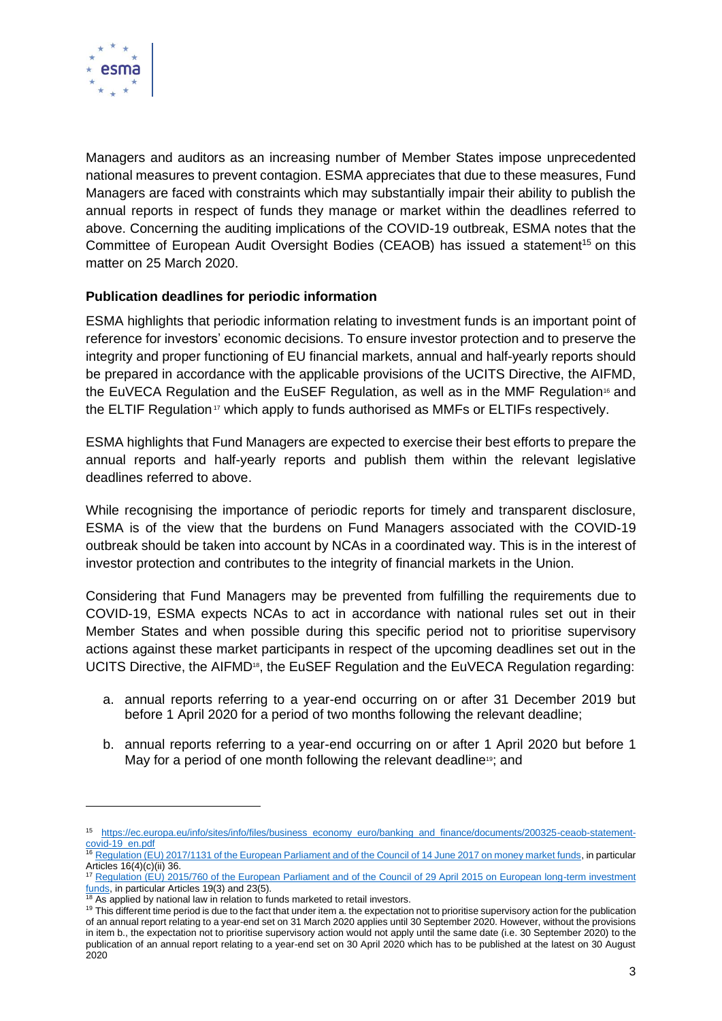

Managers and auditors as an increasing number of Member States impose unprecedented national measures to prevent contagion. ESMA appreciates that due to these measures, Fund Managers are faced with constraints which may substantially impair their ability to publish the annual reports in respect of funds they manage or market within the deadlines referred to above. Concerning the auditing implications of the COVID-19 outbreak, ESMA notes that the Committee of European Audit Oversight Bodies (CEAOB) has issued a statement<sup>15</sup> on this matter on 25 March 2020.

## **Publication deadlines for periodic information**

ESMA highlights that periodic information relating to investment funds is an important point of reference for investors' economic decisions. To ensure investor protection and to preserve the integrity and proper functioning of EU financial markets, annual and half-yearly reports should be prepared in accordance with the applicable provisions of the UCITS Directive, the AIFMD, the EuVECA Regulation and the EuSEF Regulation, as well as in the MMF Regulation<sup>16</sup> and the ELTIF Regulation<sup>17</sup> which apply to funds authorised as MMFs or ELTIFs respectively.

ESMA highlights that Fund Managers are expected to exercise their best efforts to prepare the annual reports and half-yearly reports and publish them within the relevant legislative deadlines referred to above.

While recognising the importance of periodic reports for timely and transparent disclosure, ESMA is of the view that the burdens on Fund Managers associated with the COVID-19 outbreak should be taken into account by NCAs in a coordinated way. This is in the interest of investor protection and contributes to the integrity of financial markets in the Union.

Considering that Fund Managers may be prevented from fulfilling the requirements due to COVID-19, ESMA expects NCAs to act in accordance with national rules set out in their Member States and when possible during this specific period not to prioritise supervisory actions against these market participants in respect of the upcoming deadlines set out in the UCITS Directive, the AIFMD<sup>18</sup>, the EuSEF Regulation and the EuVECA Regulation regarding:

- a. annual reports referring to a year-end occurring on or after 31 December 2019 but before 1 April 2020 for a period of two months following the relevant deadline;
- b. annual reports referring to a year-end occurring on or after 1 April 2020 but before 1 May for a period of one month following the relevant deadline<sup>19</sup>; and

 $18$  As applied by national law in relation to funds marketed to retail investors.

<sup>15</sup> [https://ec.europa.eu/info/sites/info/files/business\\_economy\\_euro/banking\\_and\\_finance/documents/200325-ceaob-statement](https://ec.europa.eu/info/sites/info/files/business_economy_euro/banking_and_finance/documents/200325-ceaob-statement-covid-19_en.pdf)[covid-19\\_en.pdf](https://ec.europa.eu/info/sites/info/files/business_economy_euro/banking_and_finance/documents/200325-ceaob-statement-covid-19_en.pdf)

<sup>&</sup>lt;sup>16</sup> [Regulation \(EU\) 2017/1131 of the European Parliament and of the Council of 14 June 2017 on money market funds,](https://eur-lex.europa.eu/legal-content/EN/TXT/?uri=CELEX:32017R1131) in particular Articles 16(4)(c)(ii) 36.

<sup>&</sup>lt;sup>17</sup> Regulation (EU) 2015/760 of the European Parliament and of the Council of 29 April 2015 on European long-term investment [funds,](https://eur-lex.europa.eu/legal-content/EN/TXT/?uri=uriserv:OJ.L_.2015.123.01.0098.01.ENG&toc=OJ:L:2015:123:TOC) in particular Articles 19(3) and 23(5).

<sup>&</sup>lt;sup>19</sup> This different time period is due to the fact that under item a. the expectation not to prioritise supervisory action for the publication of an annual report relating to a year-end set on 31 March 2020 applies until 30 September 2020. However, without the provisions in item b., the expectation not to prioritise supervisory action would not apply until the same date (i.e. 30 September 2020) to the publication of an annual report relating to a year-end set on 30 April 2020 which has to be published at the latest on 30 August 2020